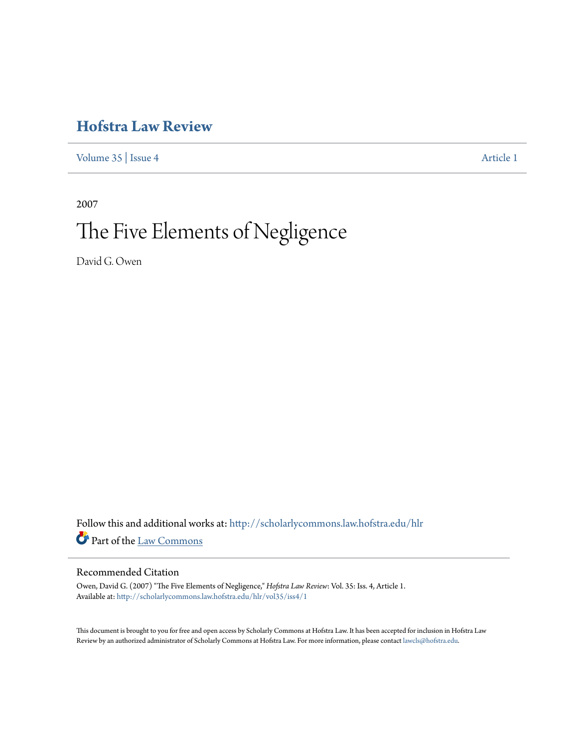### **[Hofstra Law Review](http://scholarlycommons.law.hofstra.edu/hlr?utm_source=scholarlycommons.law.hofstra.edu%2Fhlr%2Fvol35%2Fiss4%2F1&utm_medium=PDF&utm_campaign=PDFCoverPages)**

[Volume 35](http://scholarlycommons.law.hofstra.edu/hlr/vol35?utm_source=scholarlycommons.law.hofstra.edu%2Fhlr%2Fvol35%2Fiss4%2F1&utm_medium=PDF&utm_campaign=PDFCoverPages) | [Issue 4](http://scholarlycommons.law.hofstra.edu/hlr/vol35/iss4?utm_source=scholarlycommons.law.hofstra.edu%2Fhlr%2Fvol35%2Fiss4%2F1&utm_medium=PDF&utm_campaign=PDFCoverPages) [Article 1](http://scholarlycommons.law.hofstra.edu/hlr/vol35/iss4/1?utm_source=scholarlycommons.law.hofstra.edu%2Fhlr%2Fvol35%2Fiss4%2F1&utm_medium=PDF&utm_campaign=PDFCoverPages)

2007

## The Five Elements of Negligence

David G. Owen

Follow this and additional works at: [http://scholarlycommons.law.hofstra.edu/hlr](http://scholarlycommons.law.hofstra.edu/hlr?utm_source=scholarlycommons.law.hofstra.edu%2Fhlr%2Fvol35%2Fiss4%2F1&utm_medium=PDF&utm_campaign=PDFCoverPages) Part of the [Law Commons](http://network.bepress.com/hgg/discipline/578?utm_source=scholarlycommons.law.hofstra.edu%2Fhlr%2Fvol35%2Fiss4%2F1&utm_medium=PDF&utm_campaign=PDFCoverPages)

#### Recommended Citation

Owen, David G. (2007) "The Five Elements of Negligence," *Hofstra Law Review*: Vol. 35: Iss. 4, Article 1. Available at: [http://scholarlycommons.law.hofstra.edu/hlr/vol35/iss4/1](http://scholarlycommons.law.hofstra.edu/hlr/vol35/iss4/1?utm_source=scholarlycommons.law.hofstra.edu%2Fhlr%2Fvol35%2Fiss4%2F1&utm_medium=PDF&utm_campaign=PDFCoverPages)

This document is brought to you for free and open access by Scholarly Commons at Hofstra Law. It has been accepted for inclusion in Hofstra Law Review by an authorized administrator of Scholarly Commons at Hofstra Law. For more information, please contact [lawcls@hofstra.edu](mailto:lawcls@hofstra.edu).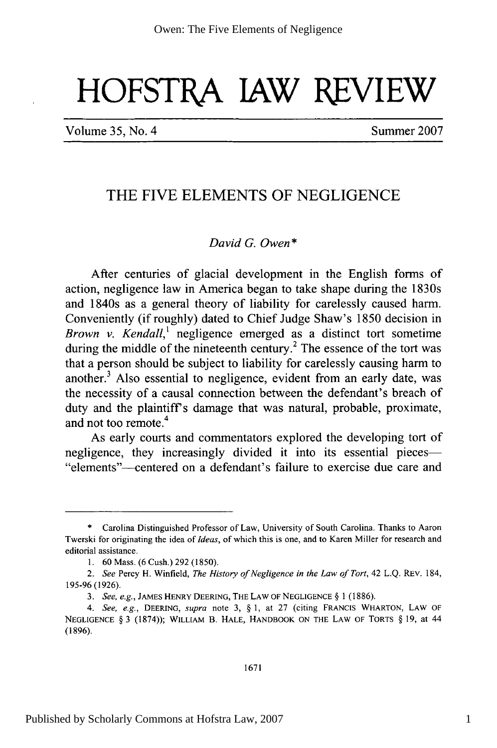# **HOFSTRA JAW REVIEW**

Volume 35, No. 4 Summer 2007

#### THE FIVE **ELEMENTS** OF **NEGLIGENCE**

#### *David G. Owen \**

After centuries of glacial development in the English forms of action, negligence law in America began to take shape during the 1830s and 1840s as a general theory of liability for carelessly caused harm. Conveniently (if roughly) dated to Chief Judge Shaw's **1850** decision in *Brown v. Kendall,'* negligence emerged as a distinct tort sometime during the middle of the nineteenth century.<sup>2</sup> The essence of the tort was that a person should be subject to liability for carelessly causing harm to another.3 Also essential to negligence, evident from an early date, was the necessity of a causal connection between the defendant's breach of duty and the plaintiff's damage that was natural, probable, proximate, and not too remote.<sup>4</sup>

As early courts and commentators explored the developing tort of negligence, they increasingly divided it into its essential pieces—<br>"elements"—centered on a defendant's failure to exercise due care and

**<sup>\*</sup>** Carolina Distinguished Professor of Law, University of South Carolina. Thanks to Aaron Twerski for originating the idea of *Ideas,* of which this is one, and to Karen Miller for research and editorial assistance.

**<sup>1. 60</sup>** Mass. **(6** Cush.) **292 (1850).**

*<sup>2.</sup> See* Percy H. Winfield, *The History of Negligence in the Law of Tort,* 42 **L.Q.** REV. 184, **195-96 (1926).**

*<sup>3.</sup> See, e.g.,* JAMES HENRY **DEERING,** THE LAW OF **NEGLIGENCE** § 1 (1886).

*<sup>4.</sup> See, e.g.,* DEERING, *supra* note **3,** § **1,** at **27** (citing FRANCIS WHARTON, LAW OF **NEGLIGENCE** § **3 (1874));** WILLIAM B. **HALE,** HANDBOOK **ON** THE LAW OF TORTS § **19,** at 44 **(1896).**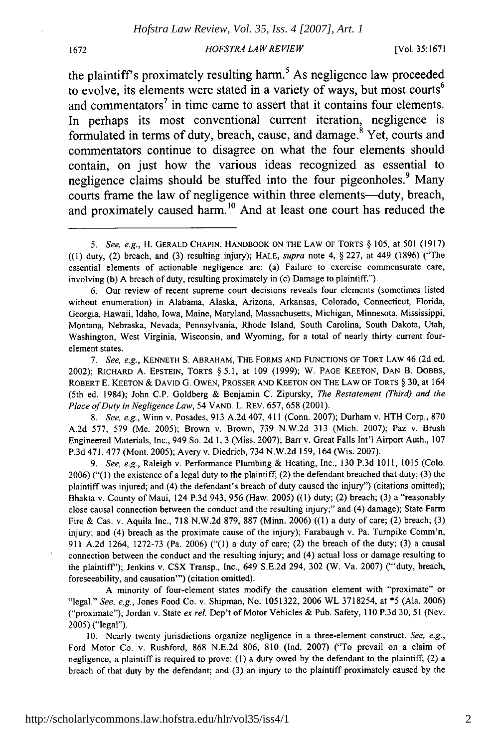#### **1672** *HOFSTRA LAW REVIEW* [Vol. **35:1671**

the plaintiff's proximately resulting harm.<sup>5</sup> As negligence law proceeded to evolve, its elements were stated in a variety of ways, but most courts<sup>6</sup> and commentators<sup>7</sup> in time came to assert that it contains four elements. In perhaps its most conventional current iteration, negligence is formulated in terms of duty, breach, cause, and damage.<sup>8</sup> Yet, courts and commentators continue to disagree on what the four elements should contain, on just how the various ideas recognized as essential to negligence claims should be stuffed into the four pigeonholes.<sup>9</sup> Many courts frame the law of negligence within three elements-duty, breach, and proximately caused harm.<sup>10</sup> And at least one court has reduced the

*8. See, e.g.,* Winn v. Posades, 913 A.2d 407, 411 (Conn. 2007); Durham v. HTH Corp., 870 A.2d 577, 579 (Me. 2005); Brown v. Brown, 739 N.W.2d 313 (Mich. 2007); Paz v. Brush Engineered Materials, Inc., 949 So. 2d 1, 3 (Miss. 2007); Barr v. Great Falls Int'l Airport Auth., 107 P.3d 471, 477 (Mont. 2005); Avery v. Diedrich, 734 N.W.2d 159, 164 (Wis. 2007).

*9. See, e.g.,* Raleigh v. Performance Plumbing & Heating, Inc., 130 P.3d 1011, 1015 (Colo. 2006) ("(1) the existence of a legal duty to the plaintiff; (2) the defendant breached that duty; (3) the plaintiff was injured; and (4) the defendant's breach of duty caused the injury") (citations omitted); Bhakta v. County of Maui, 124 P.3d 943, 956 (Haw. 2005) ((1) duty; (2) breach; (3) a "reasonably close causal connection between the conduct and the resulting injury;" and (4) damage); State Farm Fire & Cas. v. Aquila Inc., 718 N.W.2d 879, 887 (Minn. 2006) ((1) a duty of care; (2) breach; (3) injury; and (4) breach as the proximate cause of the injury); Farabaugh v. Pa. Turnpike Comm'n, 911 A.2d 1264, 1272-73 (Pa. 2006) ("(1) a duty of care; (2) the breach of the duty; (3) a causal connection between the conduct and the resulting injury; and (4) actual loss or damage resulting to the plaintiff"); Jenkins v. CSX Transp., Inc., 649 S.E.2d 294, 302 (W. Va. 2007) ("'duty, breach, foreseeability, and causation"') (citation omitted).

A minority of four-element states modify the causation element with "proximate" or "legal." *See, e.g.,* Jones Food Co. v. Shipman, No. 1051322, 2006 WL 3718254, at \*5 (Ala. 2006) ("proximate"); Jordan v. State *ex rel.* Dep't of Motor Vehicles & Pub. Safety, 110 P.3d 30, 51 (Nev. 2005) ("legal").

10. Nearly twenty jurisdictions organize negligence in a three-element construct. *See, e.g.,* Ford Motor Co. v. Rushford, 868 N.E.2d 806, 810 (Ind. 2007) ("To prevail on a claim of negligence, a plaintiff is required to prove: (1) a duty owed by the defendant to the plaintiff; (2) a breach of that duty by the defendant; and (3) an injury to the plaintiff proximately caused by the

*<sup>5.</sup> See, e.g.,* H. GERALD CHAPIN, HANDBOOK ON THE LAW OF TORTS § 105, at 501 (1917) ((I) duty, (2) breach, and (3) resulting injury); HALE, *supra* note 4, § 227, at 449 (1896) ("The essential elements of actionable negligence are: (a) Failure to exercise commensurate care, involving (b) A breach of duty, resulting proximately in (c) Damage to plaintiff.").

<sup>6.</sup> Our review of recent supreme court decisions reveals four elements (sometimes listed without enumeration) in Alabama, Alaska, Arizona, Arkansas, Colorado, Connecticut, Florida, Georgia, Hawaii, Idaho, Iowa, Maine, Maryland, Massachusetts, Michigan, Minnesota, Mississippi, Montana, Nebraska, Nevada, Pennsylvania, Rhode Island, South Carolina, South Dakota, Utah, Washington, West Virginia, Wisconsin, and Wyoming, for a total of nearly thirty current fourelement states.

*<sup>7.</sup> See, e.g.,* KENNETH **S.** ABRAHAM, THE FORMS AND FUNCTIONS OF TORT LAW 46 **(2d** ed. 2002); RICHARD A. EPSTEIN, TORTS § 5.1, at 109 (1999); W. PAGE KEETON, **DAN** B. DOBBS, ROBERT E. KEETON & DAVID G. OWEN, PROSSER **AND** KEETON ON THE LAW OF TORTS § **30,** at 164 (5th ed. 1984); John C.P. Goldberg & Benjamin C. Zipursky, *The Restatement (Third) and the Place of Duty in Negligence Law,* 54 VAND. L. REV. 657, 658 (2001).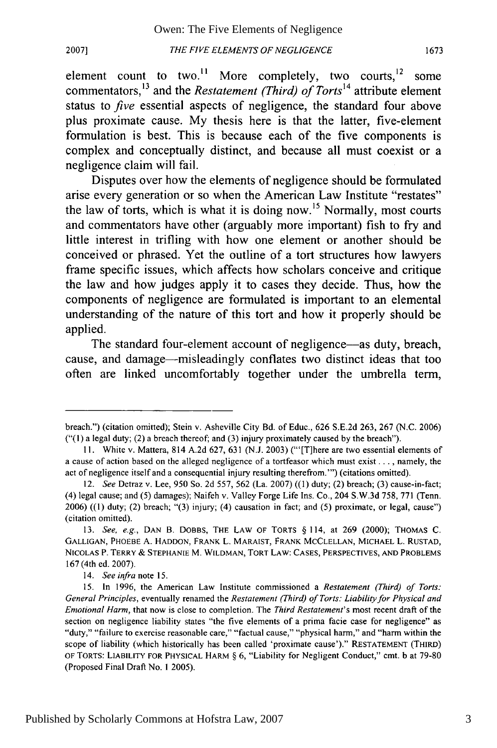element count to two.<sup>11</sup> More completely, two courts, <sup>12</sup> some commentators,<sup>13</sup> and the *Restatement (Third) of Torts*<sup>14</sup> attribute element status to *five* essential aspects of negligence, the standard four above plus proximate cause. **My** thesis here is that the latter, five-element formulation is best. This is because each of the five components is complex and conceptually distinct, and because all must coexist or a negligence claim will fail.

Disputes over how the elements of negligence should be formulated arise every generation or so when the American Law Institute "restates" the law of torts, which is what it is doing now.15 Normally, most courts and commentators have other (arguably more important) fish to fry and little interest in trifling with how one element or another should be conceived or phrased. Yet the outline of a tort structures how lawyers frame specific issues, which affects how scholars conceive and critique the law and how judges apply it to cases they decide. Thus, how the components of negligence are formulated is important to an elemental understanding of the nature of this tort and how it properly should be applied.

The standard four-element account of negligence—as duty, breach, cause, and damage-misleadingly conflates two distinct ideas that too often are linked uncomfortably together under the umbrella term,

breach.") (citation omitted); Stein v. Asheville City Bd. of Educ., 626 S.E.2d 263, 267 (N.C. 2006)  $("1)$  a legal duty;  $(2)$  a breach thereof; and  $(3)$  injury proximately caused by the breach").

**<sup>11.</sup>** White v. Mattera, 814 A.2d 627, 631 (N.J. 2003) ("'[T]here are two essential elements of a cause of action based on the alleged negligence of a tortfeasor which must exist .... namely, the act of negligence itself and a consequential injury resulting therefrom."') (citations omitted).

<sup>12.</sup> *See* Detraz v. Lee, 950 So. 2d 557, 562 (La. 2007) ((1) duty; (2) breach; (3) cause-in-fact; (4) legal cause; and (5) damages); Naifeh v. Valley Forge Life Ins. Co., 204 S.W.3d 758, 771 (Tenn. 2006) ((1) duty; (2) breach; "(3) injury; (4) causation in fact; and (5) proximate, or legal, cause") (citation omitted).

<sup>13.</sup> *See, e.g.,* **DAN** B. DOBBS, THE LAW OF TORTS § 114, at 269 (2000); THOMAS C. **GALLIGAN,** PHOEBE **A. HADDON,** FRANK L. MARAIST, FRANK **MCCLELLAN, MICHAEL** L. RUSTAD, **NICOLAS** P. TERRY & **STEPHANIE** M. WILDMAN, TORT LAW: **CASES,** PERSPECTIVES, **AND** PROBLEMS 167 (4th ed. 2007).

*<sup>14.</sup> See infra note* 15.

<sup>15.</sup> In 1996, the American Law Institute commissioned a *Restatement (Third) of Torts: General Principles,* eventually renamed the *Restatement (Third) of Torts: Liability for Physical and Emotional Harm,* that now is close to completion. The *Third Restatement's* most recent draft of the section on negligence liability states "the five elements of a prima facie case for negligence" as "duty," "failure to exercise reasonable care," "factual cause," "physical harm," and "harm within the scope of liability (which historically has been called 'proximate cause')." **RESTATEMENT** (THIRD) OF TORTS: LIABILITY FOR PHYSICAL HARM § 6, "Liability for Negligent Conduct," cmt. b at 79-80 (Proposed Final Draft No. 1 2005).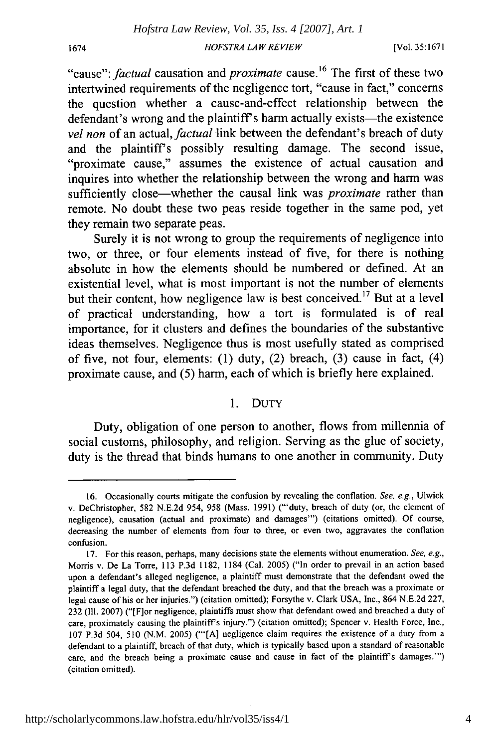*HOFSTRA LA W REVIEW*

[Vol. **35:1671**

"cause": *factual* causation and *proximate* cause.<sup>16</sup> The first of these two intertwined requirements of the negligence tort, "cause in fact," concerns the question whether a cause-and-effect relationship between the defendant's wrong and the plaintiff's harm actually exists—the existence *vel non* of an actual, *factual* link between the defendant's breach of duty and the plaintiff's possibly resulting damage. The second issue, "proximate cause," assumes the existence of actual causation and inquires into whether the relationship between the wrong and harm was sufficiently close-whether the causal link was *proximate* rather than remote. No doubt these two peas reside together in the same pod, yet they remain two separate peas.

Surely it is not wrong to group the requirements of negligence into two, or three, or four elements instead of five, for there is nothing absolute in how the elements should be numbered or defined. At an existential level, what is most important is not the number of elements but their content, how negligence law is best conceived.<sup>17</sup> But at a level of practical understanding, how a tort is formulated is of real importance, for it clusters and defines the boundaries of the substantive ideas themselves. Negligence thus is most usefully stated as comprised of five, not four, elements: (1) duty, (2) breach, (3) cause in fact, (4) proximate cause, and (5) harm, each of which is briefly here explained.

#### 1. DUTY

Duty, obligation of one person to another, flows from millennia of social customs, philosophy, and religion. Serving as the glue of society, duty is the thread that binds humans to one another in community. Duty

<sup>16.</sup> Occasionally courts mitigate the confusion by revealing the conflation. *See,* e.g., Ulwick v. DeChristopher, 582 N.E.2d 954, 958 (Mass. 1991) ("'duty, breach of duty (or, the element of negligence), causation (actual and proximate) and damages"') (citations omitted). Of course, decreasing the number of elements from four to three, or even two, aggravates the conflation confusion.

<sup>17.</sup> For this reason, perhaps, many decisions state the elements without enumeration. *See. e.g.,* Morris v. De La Torre, 113 P.3d 1182, 1184 (Cal. 2005) ("In order to prevail in an action based upon a defendant's alleged negligence, a plaintiff must demonstrate that the defendant owed the plaintiff a legal duty, that the defendant breached the duty, and that the breach was a proximate or legal cause of his or her injuries.") (citation omitted); Forsythe v. Clark USA, Inc., 864 N.E.2d 227, 232 **(I11.** 2007) ("[For negligence, plaintiffs must show that defendant owed and breached a duty of care, proximately causing the plaintiff's injury.") (citation omitted); Spencer v. Health Force, Inc., 107 P.3d 504, 510 (N.M. 2005) ("'[A] negligence claim requires the existence of a duty from a defendant to a plaintiff, breach of that duty, which is typically based upon a standard of reasonable care, and the breach being a proximate cause and cause in fact of the plaintiff's damages."") (citation omitted).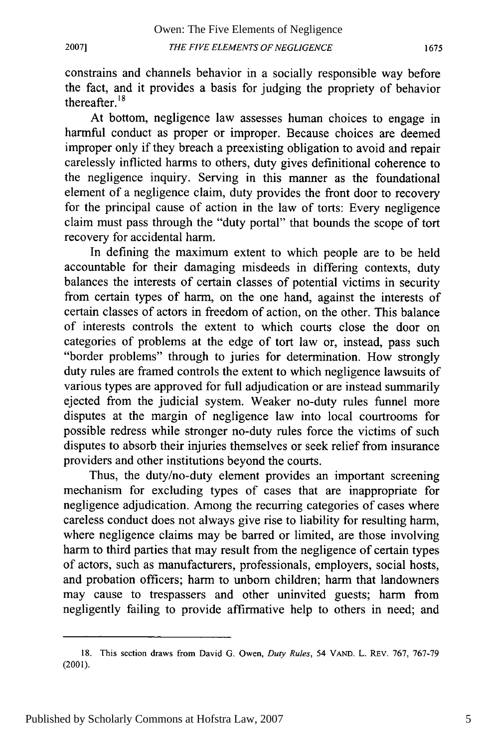constrains and channels behavior in a socially responsible way before the fact, and it provides a basis for judging the propriety of behavior thereafter. $18$ 

At bottom, negligence law assesses human choices to engage in harmful conduct as proper or improper. Because choices are deemed improper only if they breach a preexisting obligation to avoid and repair carelessly inflicted harms to others, duty gives definitional coherence to the negligence inquiry. Serving in this manner as the foundational element of a negligence claim, duty provides the front door to recovery for the principal cause of action in the law of torts: Every negligence claim must pass through the "duty portal" that bounds the scope of tort recovery for accidental harm.

In defining the maximum extent to which people are to be held accountable for their damaging misdeeds in differing contexts, duty balances the interests of certain classes of potential victims in security from certain types of harm, on the one hand, against the interests of certain classes of actors in freedom of action, on the other. This balance of interests controls the extent to which courts close the door on categories of problems at the edge of tort law or, instead, pass such "border problems" through to juries for determination. How strongly duty rules are framed controls the extent to which negligence lawsuits of various types are approved for full adjudication or are instead summarily ejected from the judicial system. Weaker no-duty rules funnel more disputes at the margin of negligence law into local courtrooms for possible redress while stronger no-duty rules force the victims of such disputes to absorb their injuries themselves or seek relief from insurance providers and other institutions beyond the courts.

Thus, the duty/no-duty element provides an important screening mechanism for excluding types of cases that are inappropriate for negligence adjudication. Among the recurring categories of cases where careless conduct does not always give rise to liability for resulting harm, where negligence claims may be barred or limited, are those involving harm to third parties that may result from the negligence of certain types of actors, such as manufacturers, professionals, employers, social hosts, and probation officers; harm to unborn children; harm that landowners may cause to trespassers and other uninvited guests; harm from negligently failing to provide affirmative help to others in need; and

1675

<sup>18.</sup> This section draws from David G. Owen, *Duty Rules,* 54 **VAND.** L. REV. **767, 767-79** (2001).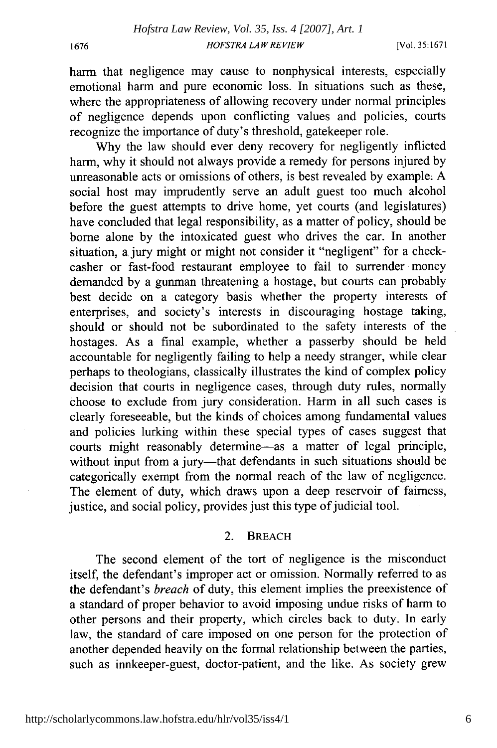harm that negligence may cause to nonphysical interests, especially emotional harm and pure economic loss. In situations such as these, where the appropriateness of allowing recovery under normal principles of negligence depends upon conflicting values and policies, courts recognize the importance of duty's threshold, gatekeeper role.

Why the law should ever deny recovery for negligently inflicted harm, why it should not always provide a remedy for persons injured by unreasonable acts or omissions of others, is best revealed by example. A social host may imprudently serve an adult guest too much alcohol before the guest attempts to drive home, yet courts (and legislatures) have concluded that legal responsibility, as a matter of policy, should be borne alone by the intoxicated guest who drives the car. In another situation, a. jury might or might not consider it "negligent" for a checkcasher or fast-food restaurant employee to fail to surrender money demanded by a gunman threatening a hostage, but courts can probably best decide on a category basis whether the property interests of enterprises, and society's interests in discouraging hostage taking, should or should not be subordinated to the safety interests of the hostages. As a final example, whether a passerby should be held accountable for negligently failing to help a needy stranger, while clear perhaps to theologians, classically illustrates the kind of complex policy decision that courts in negligence cases, through duty rules, normally choose to exclude from jury consideration. Harm in all such cases is clearly foreseeable, but the kinds of choices among fundamental values and policies lurking within these special types of cases suggest that courts might reasonably determine-as a matter of legal principle, without input from a jury-that defendants in such situations should be categorically exempt from the normal reach of the law of negligence. The element of duty, which draws upon a deep reservoir of fairness, justice, and social policy, provides just this type of judicial tool.

#### 2. BREACH

The second element of the tort of negligence is the misconduct itself, the defendant's improper act or omission. Normally referred to as the defendant's *breach* of duty, this element implies the preexistence of a standard of proper behavior to avoid imposing undue risks of harm to other persons and their property, which circles back to duty. In early law, the standard of care imposed on one person for the protection of another depended heavily on the formal relationship between the parties, such as innkeeper-guest, doctor-patient, and the like. As society grew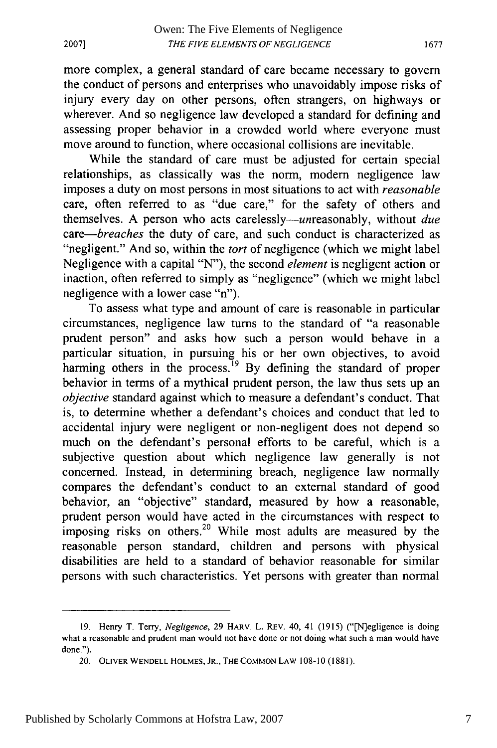more complex, a general standard of care became necessary to govern the conduct of persons and enterprises who unavoidably impose risks of injury every day on other persons, often strangers, on highways or wherever. And so negligence law developed a standard for defining and assessing proper behavior in a crowded world where everyone must move around to function, where occasional collisions are inevitable.

While the standard of care must be adjusted for certain special relationships, as classically was the norm, modem negligence law imposes a duty on most persons in most situations to act with *reasonable* care, often referred to as "due care," for the safety of others and themselves. A person who acts carelessly-unreasonably, without *due care-breaches* the duty of care, and such conduct is characterized as "negligent." And so, within the *tort* of negligence (which we might label Negligence with a capital "N"), the second *element* is negligent action or inaction, often referred to simply as "negligence" (which we might label negligence with a lower case "n").

To assess what type and amount of care is reasonable in particular circumstances, negligence law turns to the standard of "a reasonable prudent person" and asks how such a person would behave in a particular situation, in pursuing his or her own objectives, to avoid harming others in the process.<sup>19</sup> By defining the standard of proper behavior in terms of a mythical prudent person, the law thus sets up an *objective* standard against which to measure a defendant's conduct. That is, to determine whether a defendant's choices and conduct that led to accidental injury were negligent or non-negligent does not depend so much on the defendant's personal efforts to be careful, which is a subjective question about which negligence law generally is not concerned. Instead, in determining breach, negligence law normally compares the defendant's conduct to an external standard of good behavior, an "objective" standard, measured by how a reasonable, prudent person would have acted in the circumstances with respect to imposing risks on others.<sup>20</sup> While most adults are measured by the reasonable person standard, children and persons with physical disabilities are held to a standard of behavior reasonable for similar persons with such characteristics. Yet persons with greater than normal

<sup>19.</sup> Henry T. Terry, *Negligence,* 29 HARV. L. REV. 40, 41 (1915) ("[N]egligence is doing what a reasonable and prudent man would not have done or not doing what such a man would have done.").

<sup>20.</sup> OLIVER **WENDELL HOLMES,** JR., THE **COMMON** LAW 108-10 (1881).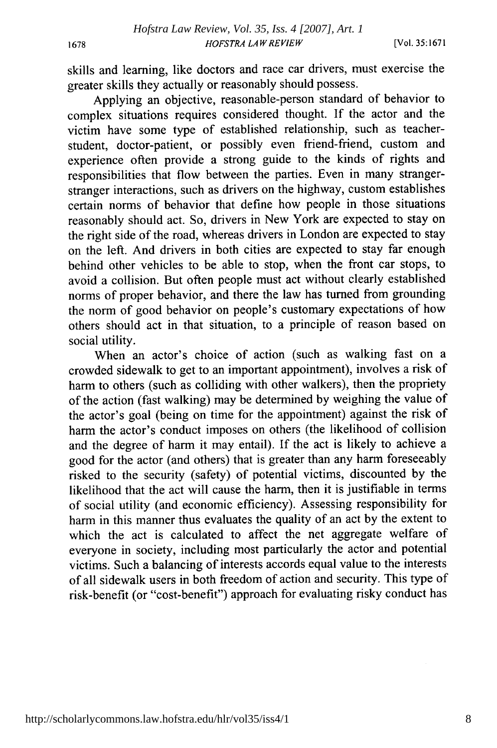1678

skills and learning, like doctors and race car drivers, must exercise the greater skills they actually or reasonably should possess.

Applying an objective, reasonable-person standard of behavior to complex situations requires considered thought. If the actor and the victim have some type of established relationship, such as teacherstudent, doctor-patient, or possibly even friend-friend, custom and experience often provide a strong guide to the kinds of rights and responsibilities that flow between the parties. Even in many strangerstranger interactions, such as drivers on the highway, custom establishes certain norms of behavior that define how people in those situations reasonably should act. So, drivers in New York are expected to stay on the right side of the road, whereas drivers in London are expected to stay on the left. And drivers in both cities are expected to stay far enough behind other vehicles to be able to stop, when the front car stops, to avoid a collision. But often people must act without clearly established norms of proper behavior, and there the law has turned from grounding the norm of good behavior on people's customary expectations of how others should act in that situation, to a principle of reason based on social utility.

When an actor's choice of action (such as walking fast on a crowded sidewalk to get to an important appointment), involves a risk of harm to others (such as colliding with other walkers), then the propriety of the action (fast walking) may be determined by weighing the value of the actor's goal (being on time for the appointment) against the risk of harm the actor's conduct imposes on others (the likelihood of collision and the degree of harm it may entail). If the act is likely to achieve a good for the actor (and others) that is greater than any harm foreseeably risked to the security (safety) of potential victims, discounted by the likelihood that the act will cause the harm, then it is justifiable in terms of social utility (and economic efficiency). Assessing responsibility for harm in this manner thus evaluates the quality of an act by the extent to which the act is calculated to affect the net aggregate welfare of everyone in society, including most particularly the actor and potential victims. Such a balancing of interests accords equal value to the interests of all sidewalk users in both freedom of action and security. This type of risk-benefit (or "cost-benefit") approach for evaluating risky conduct has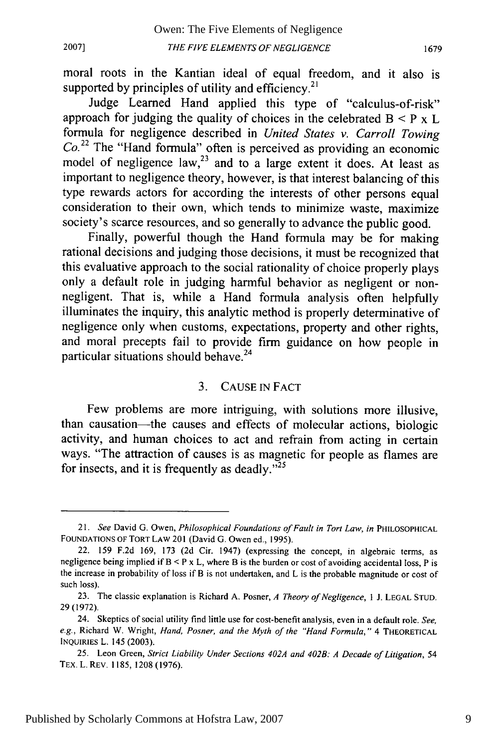moral roots in the Kantian ideal of equal freedom, and it also is supported by principles of utility and efficiency.<sup>21</sup>

Judge Learned Hand applied this type of "calculus-of-risk" approach for judging the quality of choices in the celebrated  $B < P \times L$ formula for negligence described in *United States v. Carroll Towing*  $Co<sup>22</sup>$  The "Hand formula" often is perceived as providing an economic model of negligence law,  $23$  and to a large extent it does. At least as important to negligence theory, however, is that interest balancing of this type rewards actors for according the interests of other persons equal consideration to their own, which tends to minimize waste, maximize society's scarce resources, and so generally to advance the public good.

Finally, powerful though the Hand formula may be for making rational decisions and judging those decisions, it must be recognized that this evaluative approach to the social rationality of choice properly plays only a default role in judging harmful behavior as negligent or nonnegligent. That is, while a Hand formula analysis often helpfully illuminates the inquiry, this analytic method is properly determinative of negligence only when customs, expectations, property and other rights, and moral precepts fail to provide firm guidance on how people in particular situations should behave.<sup>24</sup>

#### 3. CAUSE IN FACT

Few problems are more intriguing, with solutions more illusive, than causation-the causes and effects of molecular actions, biologic activity, and human choices to act and refrain from acting in certain ways. "The attraction of causes is as magnetic for people as flames are for insects, and it is frequently as deadly. $\frac{1}{25}$ 

<sup>21.</sup> *See* David G. Owen, *Philosophical Foundations of Fault in Tort Law, in* PHILOSOPHICAL **FOUNDATIONS** OF TORT LAW 201 (David G. Owen ed., 1995).

<sup>22. 159</sup> F.2d 169, 173 (2d Cir. 1947) (expressing the concept, in algebraic terms, as negligence being implied if B **<** P x L, where B is the burden or cost of avoiding accidental loss, P is the increase in probability of loss if B is not undertaken, and L is the probable magnitude or cost of such loss).

<sup>23.</sup> The classic explanation is Richard A. Posner, *A Theory of Negligence, I* J. LEGAL STUD. 29(1972).

<sup>24.</sup> Skeptics of social utility find little use for cost-benefit analysis, even in a default role. *See, e.g.,* Richard W. Wright, *Hand, Posner, and the Myth of the "Hand Formula,"* 4 **THEORETICAL** INQUIRIES L. 145 (2003).

<sup>25.</sup> Leon Green, *Strict Liability Under Sections 402A and 402B: A Decade of Litigation,* <sup>54</sup> TEX. L. REV. 1185, 1208 (1976).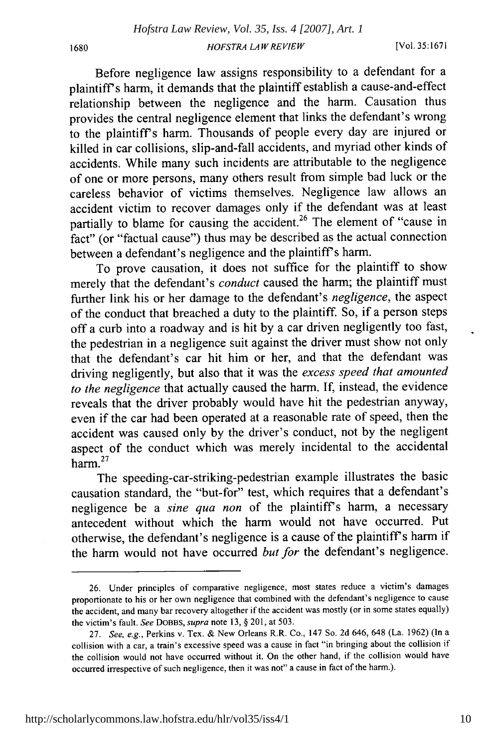Before negligence law assigns responsibility to a defendant for a plaintiffs harm, it demands that the plaintiff establish a cause-and-effect relationship between the negligence and the harm. Causation thus provides the central negligence element that links the defendant's wrong to the plaintiff's harm. Thousands of people every day are injured or killed in car collisions, slip-and-fall accidents, and myriad other kinds of accidents. While many such incidents are attributable to the negligence of one or more persons, many others result from simple bad luck or the careless behavior of victims themselves. Negligence law allows an accident victim to recover damages only if the defendant was at least partially to blame for causing the accident.<sup>26</sup> The element of "cause in fact" (or "factual cause") thus may be described as the actual connection between a defendant's negligence and the plaintiff's harm.

To prove causation, it does not suffice for the plaintiff to show merely that the defendant's *conduct* caused the harm; the plaintiff must further link his or her damage to the defendant's *negligence,* the aspect of the conduct that breached a duty to the plaintiff. So, if a person steps off a curb into a roadway and is hit by a car driven negligently too fast, the pedestrian in a negligence suit against the driver must show not only that the defendant's car hit him or her, and that the defendant was driving negligently, but also that it was the *excess speed that amounted to the negligence* that actually caused the harm. If, instead, the evidence reveals that the driver probably would have hit the pedestrian anyway, even if the car had been operated at a reasonable rate of speed, then the accident was caused only by the driver's conduct, not by the negligent aspect of the conduct which was merely incidental to the accidental harm.<sup>27</sup>

The speeding-car-striking-pedestrian example illustrates the basic causation standard, the "but-for" test, which requires that a defendant's negligence be a *sine qua non* of the plaintiff's harm, a necessary antecedent without which the harm would not have occurred. Put otherwise, the defendant's negligence is a cause of the plaintiff's harm if the harm would not have occurred *but for* the defendant's negligence.

<sup>26.</sup> Under principles of comparative negligence, most states reduce a victim's damages proportionate to his or her own negligence that combined with the defendant's negligence to cause the accident, and many bar recovery altogether if the accident was mostly (or in some states equally) the victim's fault. *See* DOBBS, *supra* note 13, § 201, at 503.

<sup>27.</sup> *See, e.g.,* Perkins v. Tex. & New Orleans R.R. Co., 147 So. 2d 646, 648 (La. 1962) (In a collision with a car, a train's excessive speed was a cause in fact "in bringing about the collision if the collision would not have occurred without it. On the other hand, if the collision would have occurred irrespective of such negligence, then it was not" a cause in fact of the harm.).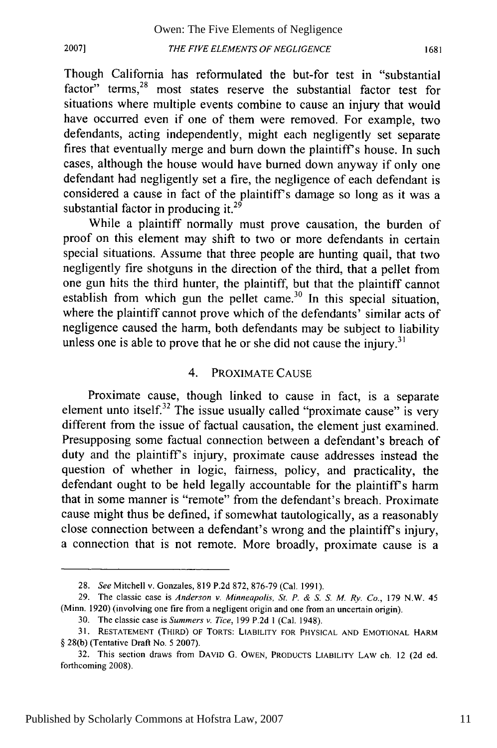**2007]**

Though California has reformulated the but-for test in "substantial factor" terms,<sup>28</sup> most states reserve the substantial factor test for situations where multiple events combine to cause an injury that would have occurred even if one of them were removed. For example, two defendants, acting independently, might each negligently set separate fires that eventually merge and burn down the plaintiff's house. In such cases, although the house would have burned down anyway if only one defendant had negligently set a fire, the negligence of each defendant is considered a cause in fact of the plaintiff's damage so long as it was a substantial factor in producing it.<sup>29</sup>

While a plaintiff normally must prove causation, the burden of proof on this element may shift to two or more defendants in certain special situations. Assume that three people are hunting quail, that two negligently fire shotguns in the direction of the third, that a pellet from one gun hits the third hunter, the plaintiff, but that the plaintiff cannot establish from which gun the pellet came.<sup>30</sup> In this special situation, where the plaintiff cannot prove which of the defendants' similar acts of negligence caused the harm, both defendants may be subject to liability unless one is able to prove that he or she did not cause the injury.<sup>31</sup>

#### 4. PROXIMATE CAUSE

Proximate cause, though linked to cause in fact, is a separate element unto itself.<sup>32</sup> The issue usually called "proximate cause" is very different from the issue of factual causation, the element just examined. Presupposing some factual connection between a defendant's breach of duty and the plaintiffs injury, proximate cause addresses instead the question of whether in logic, fairness, policy, and practicality, the defendant ought to be held legally accountable for the plaintiff's harm that in some manner is "remote" from the defendant's breach. Proximate cause might thus be defined, if somewhat tautologically, as a reasonably close connection between a defendant's wrong and the plaintiff's injury, a connection that is not remote. More broadly, proximate cause is a

<sup>28.</sup> *See* Mitchell v. Gonzales, 819 P.2d 872, 876-79 (Cal. 1991).

<sup>29.</sup> The classic case is *Anderson v. Minneapolis, St. P. & S. S. M. Ry. Co.,* 179 N.W. 45 (Minn. 1920) (involving one fire from a negligent origin and one from an uncertain origin).

<sup>30.</sup> The classic case is *Summers v. Tice,* 199 P.2d **I** (Cal. 1948).

**<sup>31.</sup> RESTATEMENT** (THIRD) OF TORTS: LIABILITY FOR PHYSICAL **AND EMOTIONAL** HARM § 28(b) (Tentative Draft No. 5 2007).

<sup>32.</sup> This section draws from **DAVID** G. **OWEN,** PRODUCTS LIABILITY LAW ch. 12 (2d ed. forthcoming 2008).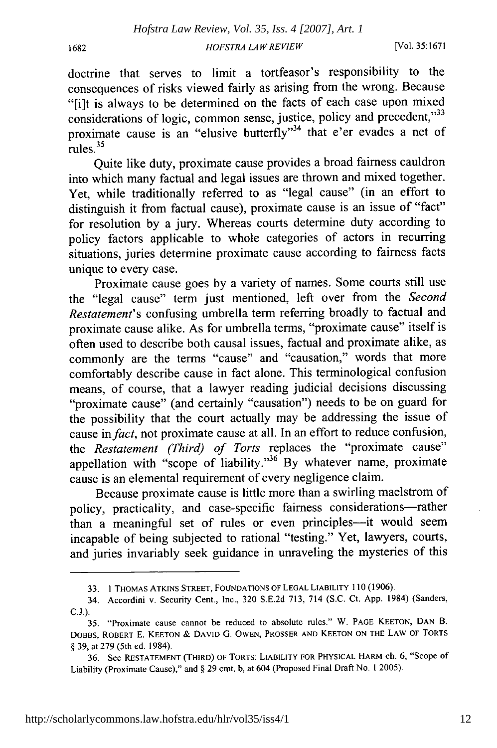doctrine that serves to limit a tortfeasor's responsibility to the consequences of risks viewed fairly as arising from the wrong. Because "[i]t is always to be determined on the facts of each case upon mixed considerations of logic, common sense, justice, policy and precedent,"33 proximate cause is an "elusive butterfly"<sup>34</sup> that e'er evades a net of rules. $35$ 

Quite like duty, proximate cause provides a broad fairness cauldron into which many factual and legal issues are thrown and mixed together. Yet, while traditionally referred to as "legal cause" (in an effort to distinguish it from factual cause), proximate cause is an issue of "fact" for resolution by a jury. Whereas courts determine duty according to policy factors applicable to whole categories of actors in recurring situations, juries determine proximate cause according to fairness facts unique to every case.

Proximate cause goes by a variety of names. Some courts still use the "legal cause" term just mentioned, left over from the *Second Restatement's* confusing umbrella term referring broadly to factual and proximate cause alike. As for umbrella terms, "proximate cause" itself is often used to describe both causal issues, factual and proximate alike, as commonly are the terms "cause" and "causation," words that more comfortably describe cause in fact alone. This terminological confusion means, of course, that a lawyer reading judicial decisions discussing "proximate cause" (and certainly "causation") needs to be on guard for the possibility that the court actually may be addressing the issue of cause *infact,* not proximate cause at all. In an effort to reduce confusion, the *Restatement (Third) of Torts* replaces the "proximate cause" appellation with "scope of liability."<sup>36</sup> By whatever name, proximate cause is an elemental requirement of every negligence claim.

Because proximate cause is little more than a swirling maelstrom of policy, practicality, and case-specific fairness considerations-rather than a meaningful set of rules or even principles---it would seem incapable of being subjected to rational "testing." Yet, lawyers, courts, and juries invariably seek guidance in unraveling the mysteries of this

**<sup>33. 1</sup>** THOMAS **ATKINS** STREET, FOUNDATIONS OF **LEGAL** LIABILITY **110 (1906).**

<sup>34.</sup> Accordini v. Security Cent., Inc., **320 S.E.2d 713,** 714 **(S.C.** Ct. **App.** 1984) (Sanders, **C.J.).**

<sup>35. &</sup>quot;Proximate cause cannot be reduced to absolute rules." W. **PAGE KEETON, DAN** B. DOBBS, ROBERT **E. KEETON & DAVID G. OWEN,** PROSSER **AND KEETON ON** THE LAW OF TORTS § **39,** at **279** (5th ed. 1984).

**<sup>36.</sup>** See **RESTATEMENT** (THIRD) OF TORTS: LIABILITY FOR PHYSICAL HARM ch. **6,** "Scope of Liability (Proximate Cause)," and § **29** cmt. **b,** at 604 (Proposed Final Draft No. **1 2005).**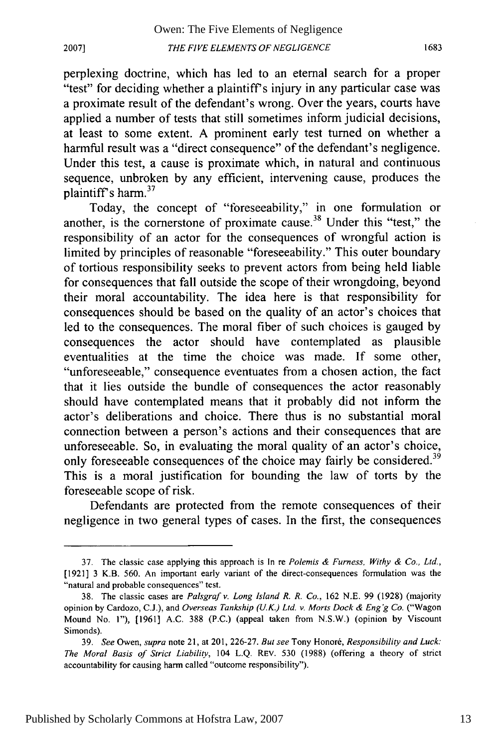perplexing doctrine, which has led to an eternal search for a proper "test" for deciding whether a plaintiff's injury in any particular case was a proximate result of the defendant's wrong. Over the years, courts have applied a number of tests that still sometimes inform judicial decisions, at least to some extent. A prominent early test turned on whether a harmful result was a "direct consequence" of the defendant's negligence. Under this test, a cause is proximate which, in natural and continuous sequence, unbroken by any efficient, intervening cause, produces the plaintiff's harm.37

Today, the concept of "foreseeability," in one formulation or another, is the cornerstone of proximate cause.<sup>38</sup> Under this "test," the responsibility of an actor for the consequences of wrongful action is limited by principles of reasonable "foreseeability." This outer boundary of tortious responsibility seeks to prevent actors from being held liable for consequences that fall outside the scope of their wrongdoing, beyond their moral accountability. The idea here is that responsibility for consequences should be based on the quality of an actor's choices that led to the consequences. The moral fiber of such choices is gauged by consequences the actor should have contemplated as plausible eventualities at the time the choice was made. If some other, "unforeseeable," consequence eventuates from a chosen action, the fact that it lies outside the bundle of consequences the actor reasonably should have contemplated means that it probably did not inform the actor's deliberations and choice. There thus is no substantial moral connection between a person's actions and their consequences that are unforeseeable. So, in evaluating the moral quality of an actor's choice, only foreseeable consequences of the choice may fairly be considered.<sup>39</sup> This is a moral justification for bounding the law of torts by the foreseeable scope of risk.

Defendants are protected from the remote consequences of their negligence in two general types of cases. In the first, the consequences

**2007]**

<sup>37.</sup> The classic case applying this approach is In re *Polemis & Furness, Withy & Co., Ltd.,* [1921] 3 K.B. 560. An important early variant of the direct-consequences formulation was the "natural and probable consequences" test.

<sup>38.</sup> The classic cases are *Palsgrafv. Long Island R. R. Co.,* 162 N.E. 99 (1928) (majority opinion by Cardozo, C.J.), and *Overseas Tankship (U.K.) Ltd. v. Morts Dock & Eng'g Co.* ("Wagon Mound No. 1"), [1961] A.C. 388 (P.C.) (appeal taken from **N.S.W.)** (opinion by Viscount Simonds).

<sup>39.</sup> See Owen, *supra* note 21, at 201, 226-27. *But see* Tony Honoré, *Responsibility and Luck*: *The Moral Basis of Strict Liability,* 104 L.Q. REV. 530 (1988) (offering a theory of strict accountability for causing harm called "outcome responsibility").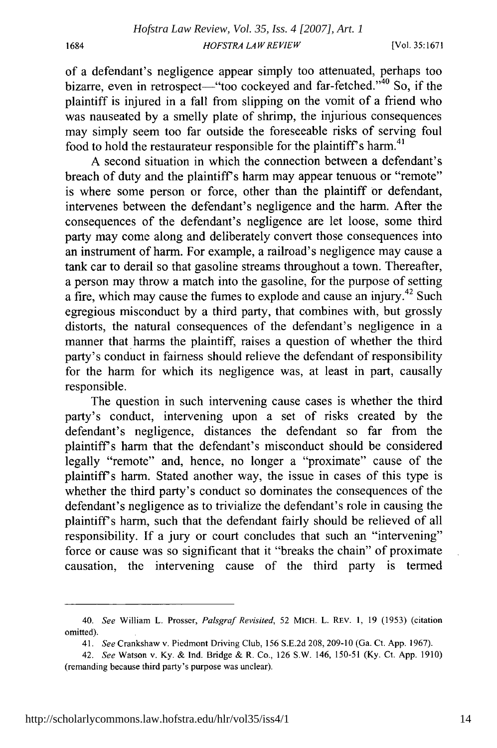1684

of a defendant's negligence appear simply too attenuated, perhaps too bizarre, even in retrospect-"too cockeyed and far-fetched." $40$  So, if the plaintiff is injured in a fall from slipping on the vomit of a friend who was nauseated by a smelly plate of shrimp, the injurious consequences may simply seem too far outside the foreseeable risks of serving foul food to hold the restaurateur responsible for the plaintiff's harm.<sup>41</sup>

A second situation in which the connection between a defendant's breach of duty and the plaintiff's harm may appear tenuous or "remote" is where some person or force, other than the plaintiff or defendant, intervenes between the defendant's negligence and the harm. After the consequences of the defendant's negligence are let loose, some third party may come along and deliberately convert those consequences into an instrument of harm. For example, a railroad's negligence may cause a tank car to derail so that gasoline streams throughout a town. Thereafter, a person may throw a match into the gasoline, for the purpose of setting a fire, which may cause the fumes to explode and cause an injury.42 Such egregious misconduct by a third party, that combines with, but grossly distorts, the natural consequences of the defendant's negligence in a manner that harms the plaintiff, raises a question of whether the third party's conduct in fairness should relieve the defendant of responsibility for the harm for which its negligence was, at least in part, causally responsible.

The question in such intervening cause cases is whether the third party's conduct, intervening upon a set of risks created by the defendant's negligence, distances the defendant so far from the plaintiffs harm that the defendant's misconduct should be considered legally "remote" and, hence, no longer a "proximate" cause of the plaintiffs harm. Stated another way, the issue in cases of this type is whether the third party's conduct so dominates the consequences of the defendant's negligence as to trivialize the defendant's role in causing the plaintiff's harm, such that the defendant fairly should be relieved of all responsibility. If a jury or court concludes that such an "intervening" force or cause was so significant that it "breaks the chain" of proximate causation, the intervening cause of the third party is termed

<sup>40.</sup> *See* William L. Prosser, *Palsgraf Revisited,* 52 MICH. L. REv. 1, 19 (1953) (citation omitted).

<sup>41.</sup> *See* Crankshaw v. Piedmont Driving Club, 156 S.E.2d 208, 209-10 (Ga. Ct. App. 1967).

<sup>42.</sup> *See* Watson v. Ky. & Ind. Bridge & R. Co., 126 S.W. 146, 150-51 (Ky. Ct. App. 1910) (remanding because third party's purpose was unclear).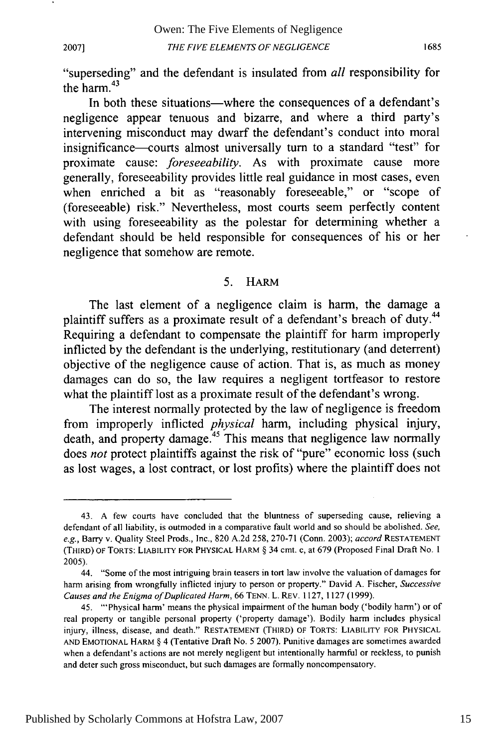**2007]**

"superseding" and the defendant is insulated from *all* responsibility for the harm. $43$ 

In both these situations—where the consequences of a defendant's negligence appear tenuous and bizarre, and where a third party's intervening misconduct may dwarf the defendant's conduct into moral insignificance-courts almost universally turn to a standard "test" for proximate cause: *foreseeability.* As with proximate cause more generally, foreseeability provides little real guidance in most cases, even when enriched a bit as "reasonably foreseeable," or "scope of (foreseeable) risk." Nevertheless, most courts seem perfectly content with using foreseeability as the polestar for determining whether a defendant should be held responsible for consequences of his or her negligence that somehow are remote.

#### 5. HARM

The last element of a negligence claim is harm, the damage a plaintiff suffers as a proximate result of a defendant's breach of duty.<sup>44</sup> Requiring a defendant to compensate the plaintiff for harm improperly inflicted **by** the defendant is the underlying, restitutionary (and deterrent) objective of the negligence cause of action. That is, as much as money damages can do so, the law requires a negligent tortfeasor to restore what the plaintiff lost as a proximate result of the defendant's wrong.

The interest normally protected **by** the law of negligence is freedom from improperly inflicted *physical* harm, including physical injury, death, and property damage.<sup>45</sup> This means that negligence law normally does *not* protect plaintiffs against the risk of "pure" economic loss (such as lost wages, a lost contract, or lost profits) where the plaintiff does not

<sup>43.</sup> A few courts have concluded that the bluntness of superseding cause, relieving a defendant of all liability, is outmoded in a comparative fault world and so should be abolished. *See, e.g.,* Barry v. Quality Steel Prods., Inc., 820 A.2d 258, 270-71 (Conn. 2003); accord **RESTATEMENT** (THIRD) OF TORTS: LIABILITY FOR PHYSICAL HARM § 34 cmt. c, at **679** (Proposed Final Draft No. **1** 2005).

<sup>44. &</sup>quot;Some of the most intriguing brain teasers in tort law involve the valuation of damages for harm arising from wrongfully inflicted injury to person or property." David A. Fischer, *Successive Causes and the Enigma of Duplicated Harm,* 66 TENN. L. REV. 1127, 1127 (1999).

<sup>45. &</sup>quot;'Physical harm' means the physical impairment of the human body ('bodily harm') or of real property or tangible personal property ('property damage'). Bodily harm includes physical injury, illness, disease, and death." **RESTATEMENT** (THIRD) OF TORTS: LIABILITY FOR PHYSICAL **AND EMOTIONAL** HARM § 4 (Tentative Draft No. 5 2007). Punitive damages are sometimes awarded when a defendant's actions are not merely negligent but intentionally harmful or reckless, to punish and deter such gross misconduct, but such damages are formally noncompensatory.